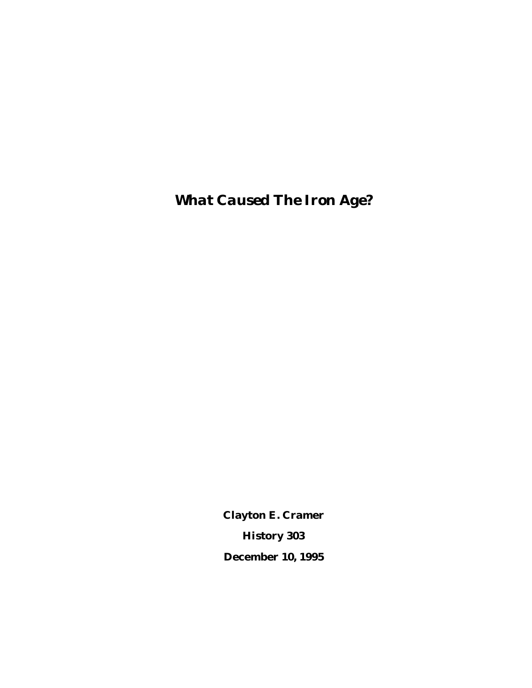*What Caused The Iron Age?*

**Clayton E. Cramer History 303 December 10, 1995**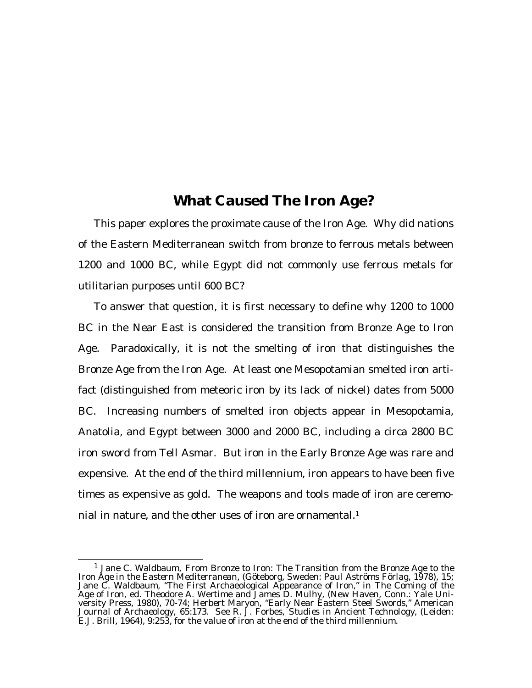## **What Caused The Iron Age?**

This paper explores the proximate cause of the Iron Age. Why did nations of the Eastern Mediterranean switch from bronze to ferrous metals between 1200 and 1000 BC, while Egypt did not commonly use ferrous metals for utilitarian purposes until 600 BC?

To answer that question, it is first necessary to define why 1200 to 1000 BC in the Near East is considered the transition from Bronze Age to Iron Age. Paradoxically, it is not the smelting of iron that distinguishes the Bronze Age from the Iron Age. At least one Mesopotamian smelted iron artifact (distinguished from meteoric iron by its lack of nickel) dates from 5000 BC. Increasing numbers of smelted iron objects appear in Mesopotamia, Anatolia, and Egypt between 3000 and 2000 BC, including a circa 2800 BC iron sword from Tell Asmar. But iron in the Early Bronze Age was rare and expensive. At the end of the third millennium, iron appears to have been five times as expensive as gold. The weapons and tools made of iron are ceremonial in nature, and the other uses of iron are ornamental.<sup>1</sup>

<sup>1</sup> Jane C. Waldbaum, *From Bronze to Iron: The Transition from the Bronze Age to the Iron Age in the Eastern Mediterranean*, (Göteborg, Sweden: Paul Aströms Förlag, 1978), 15; Jane C. Waldbaum, "The First Archaeological Appearance of Iron," in *The Coming of the Age of Iron*, ed. Theodore A. Wertime and James D. Mulhy, (New Haven, Conn.: Yale University Press, 1980), 70-74; Herbert Maryon, "Early Near Eastern Steel Swords," *American Journal of Archaeology,* 65:173. See R. J. Forbes, *Studies in Ancient Technology*, (Leiden: E.J. Brill, 1964), 9:253, for the value of iron at the end of the third millennium.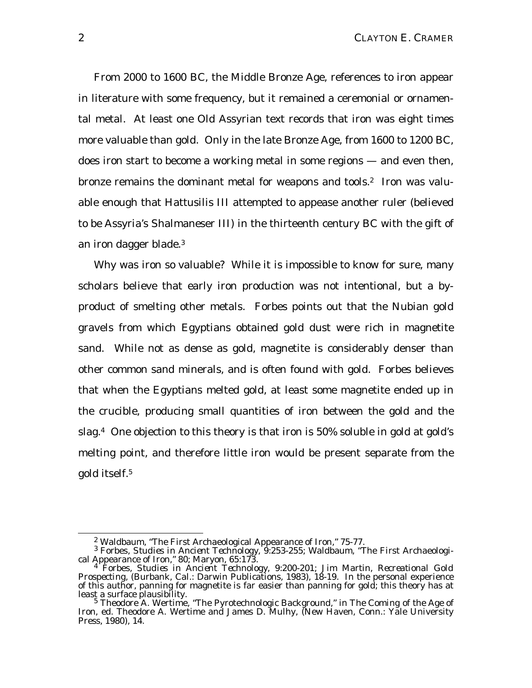From 2000 to 1600 BC, the Middle Bronze Age, references to iron appear in literature with some frequency, but it remained a ceremonial or ornamental metal. At least one Old Assyrian text records that iron was eight times more valuable than gold. Only in the late Bronze Age, from 1600 to 1200 BC, does iron start to become a working metal in some regions — and even then, bronze remains the dominant metal for weapons and tools.<sup>2</sup> Iron was valuable enough that Hattusilis III attempted to appease another ruler (believed to be Assyria's Shalmaneser III) in the thirteenth century BC with the gift of an iron dagger blade.<sup>3</sup>

Why was iron so valuable? While it is impossible to know for sure, many scholars believe that early iron production was not intentional, but a byproduct of smelting other metals. Forbes points out that the Nubian gold gravels from which Egyptians obtained gold dust were rich in magnetite sand. While not as dense as gold, magnetite is considerably denser than other common sand minerals, and is often found with gold. Forbes believes that when the Egyptians melted gold, at least some magnetite ended up in the crucible, producing small quantities of iron between the gold and the slag.4 One objection to this theory is that iron is 50% soluble in gold at gold's melting point, and therefore little iron would be present separate from the gold itself.<sup>5</sup>

 $2$  Waldbaum, "The First Archaeological Appearance of Iron,"  $75-77$ .

<sup>3</sup> Forbes, *Studies in Ancient Technology*, 9:253-255; Waldbaum, "The First Archaeological Appearance of Iron,"80; Maryon, 65:173.

<sup>4</sup> Forbes, *Studies in Ancient Technology*, 9:200-201; Jim Martin, *Recreational Gold Prospecting*, (Burbank, Cal.: Darwin Publications, 1983), 18-19. In the personal experience of this author, panning for magnetite is *far* easier than panning for gold; this theory has at least a surface plausibility.

<sup>&</sup>lt;sup>5</sup> Theodore A. Wertime, "The Pyrotechnologic Background," in *The Coming of the Age of Iron*, ed. Theodore A. Wertime and James D. Mulhy, (New Haven, Conn.: Yale University Press, 1980), 14.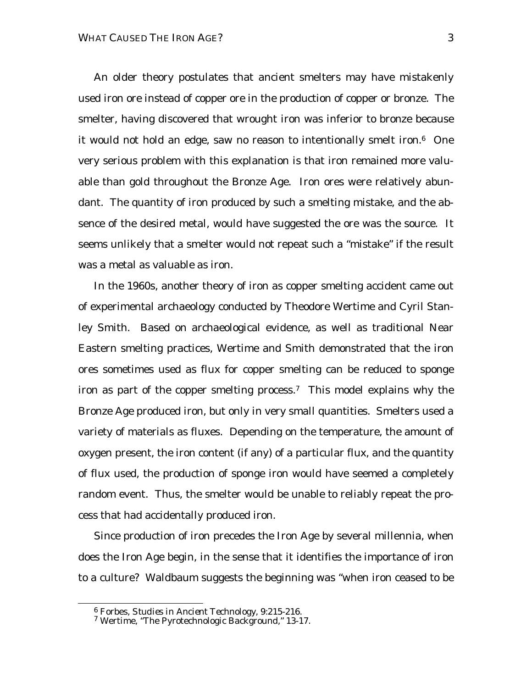An older theory postulates that ancient smelters may have mistakenly used iron ore instead of copper ore in the production of copper or bronze. The smelter, having discovered that wrought iron was inferior to bronze because it would not hold an edge, saw no reason to intentionally smelt iron.6 One very serious problem with this explanation is that iron remained more valuable than gold throughout the Bronze Age. Iron ores were relatively abundant. The quantity of iron produced by such a smelting mistake, and the absence of the desired metal, would have suggested the ore was the source. It seems unlikely that a smelter would not repeat such a "mistake" if the result was a metal as valuable as iron.

In the 1960s, another theory of iron as copper smelting accident came out of experimental archaeology conducted by Theodore Wertime and Cyril Stanley Smith. Based on archaeological evidence, as well as traditional Near Eastern smelting practices, Wertime and Smith demonstrated that the iron ores sometimes used as flux for copper smelting can be reduced to sponge iron as part of the copper smelting process.7 This model explains why the Bronze Age produced iron, but only in very small quantities. Smelters used a variety of materials as fluxes. Depending on the temperature, the amount of oxygen present, the iron content (if any) of a particular flux, and the quantity of flux used, the production of sponge iron would have seemed a completely random event. Thus, the smelter would be unable to reliably repeat the process that had accidentally produced iron.

Since production of iron precedes the Iron Age by several millennia, when does the Iron Age begin, in the sense that it identifies the importance of iron to a culture? Waldbaum suggests the beginning was "when iron ceased to be

l

<sup>6</sup> Forbes, *Studies in Ancient Technology*, 9:215-216.

<sup>&</sup>lt;sup>7</sup> Wertime, "The Pyrotechnologic Background," 13-17.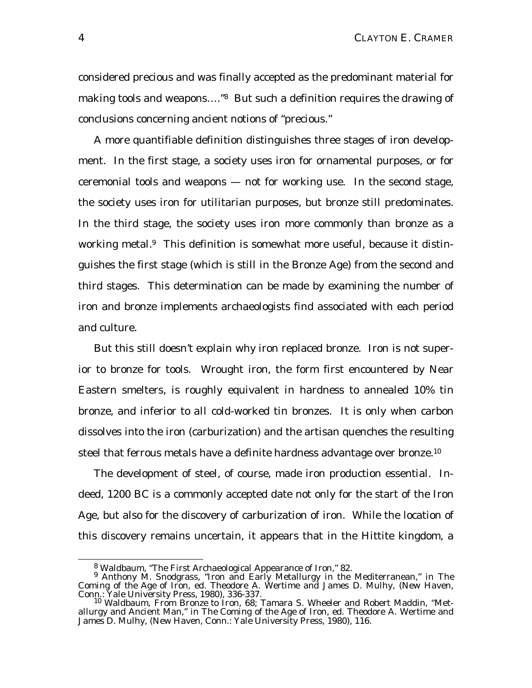considered precious and was finally accepted as the predominant material for making tools and weapons... ."<sup>8</sup> But such a definition requires the drawing of conclusions concerning ancient notions of "precious."

A more quantifiable definition distinguishes three stages of iron development. In the first stage, a society uses iron for ornamental purposes, or for ceremonial tools and weapons — not for working use. In the second stage, the society uses iron for utilitarian purposes, but bronze still predominates. In the third stage, the society uses iron more commonly than bronze as a working metal.<sup>9</sup> This definition is somewhat more useful, because it distinguishes the first stage (which is still in the Bronze Age) from the second and third stages. This determination can be made by examining the number of iron and bronze implements archaeologists find associated with each period and culture.

But this still doesn't explain *why* iron replaced bronze. Iron is *not* superior to bronze for tools. Wrought iron, the form first encountered by Near Eastern smelters, is roughly equivalent in hardness to annealed 10% tin bronze, and inferior to *all* cold-worked tin bronzes. It is only when carbon dissolves into the iron (carburization) and the artisan quenches the resulting steel that ferrous metals have a definite hardness advantage over bronze.<sup>10</sup>

The development of steel, of course, made iron production essential. Indeed, 1200 BC is a commonly accepted date not only for the start of the Iron Age, but also for the discovery of carburization of iron. While the location of this discovery remains uncertain, it appears that in the Hittite kingdom, a

 $8 \text{ Waldbaum}$ , "The First Archaeological Appearance of Iron," 82.

<sup>9</sup> Anthony M. Snodgrass, "Iron and Early Metallurgy in the Mediterranean," in *The Coming of the Age of Iron*, ed. Theodore A. Wertime and James D. Mulhy, (New Haven, Conn.: Yale University Press, 1980), 336-337.

<sup>10</sup> Waldbaum, *From Bronze to Iron,* 68; Tamara S. Wheeler and Robert Maddin, "Metallurgy and Ancient Man," in *The Coming of the Age of Iron*, ed. Theodore A. Wertime and James D. Mulhy, (New Haven, Conn.: Yale University Press, 1980), 116.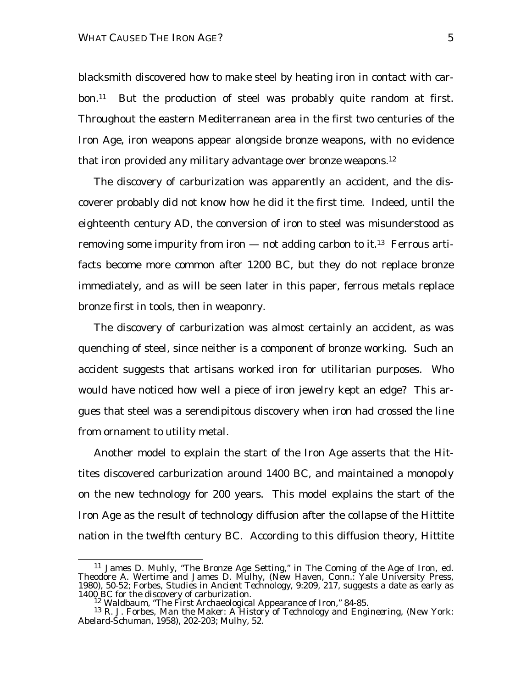blacksmith discovered how to make steel by heating iron in contact with carbon.11 But the production of steel was probably quite random at first. Throughout the eastern Mediterranean area in the first two centuries of the Iron Age, iron weapons appear alongside bronze weapons, with no evidence that iron provided any military advantage over bronze weapons.<sup>12</sup>

The discovery of carburization was apparently an accident, and the discoverer probably did not know how he did it the first time. Indeed, until the eighteenth century AD, the conversion of iron to steel was misunderstood as removing some impurity from iron  $-$  not adding carbon to it.<sup>13</sup> Ferrous artifacts become more common after 1200 BC, but they do not replace bronze immediately, and as will be seen later in this paper, ferrous metals replace bronze first in tools, then in weaponry.

The discovery of carburization was almost certainly an accident, as was quenching of steel, since neither is a component of bronze working. Such an accident suggests that artisans worked iron for utilitarian purposes. Who would have noticed how well a piece of iron jewelry kept an edge? This argues that steel was a serendipitous discovery when iron had crossed the line from ornament to utility metal.

Another model to explain the start of the Iron Age asserts that the Hittites discovered carburization around 1400 BC, and maintained a monopoly on the new technology for 200 years. This model explains the start of the Iron Age as the result of technology diffusion after the collapse of the Hittite nation in the twelfth century BC. According to this diffusion theory, Hittite

<sup>11</sup> James D. Muhly, "The Bronze Age Setting," in *The Coming of the Age of Iron*, ed. Theodore A. Wertime and James D. Mulhy, (New Haven, Conn.: Yale University Press, 1980), 50-52; Forbes, *Studies in Ancient Technology*, 9:209, 217, suggests a date as early as 1400 BC for the discovery of carburization.

<sup>&</sup>lt;sup>12</sup> Waldbaum, "The First Archaeological Appearance of Iron," 84-85.

<sup>13</sup> R. J. Forbes, *Man the Maker: A History of Technology and Engineering*, (New York: Abelard-Schuman, 1958), 202-203; Mulhy, 52.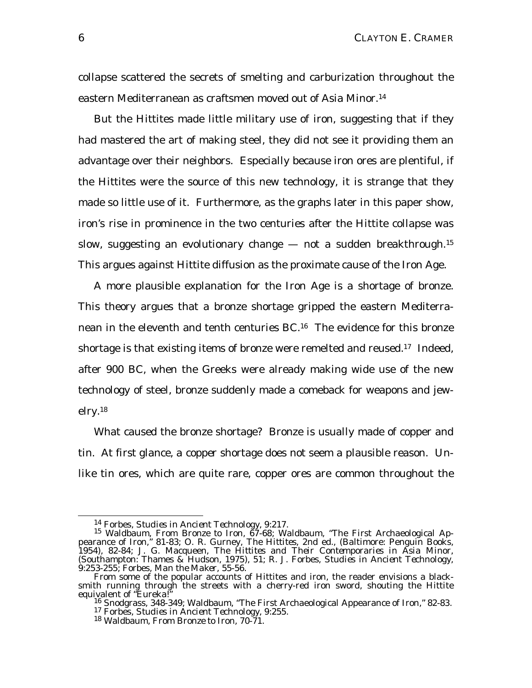collapse scattered the secrets of smelting and carburization throughout the eastern Mediterranean as craftsmen moved out of Asia Minor.<sup>14</sup>

But the Hittites made little military use of iron, suggesting that if they had mastered the art of making steel, they did not see it providing them an advantage over their neighbors. Especially because iron ores are plentiful, if the Hittites were the source of this new technology, it is strange that they made so little use of it. Furthermore, as the graphs later in this paper show, iron's rise in prominence in the two centuries after the Hittite collapse was slow, suggesting an evolutionary change — not a sudden breakthrough.<sup>15</sup> This argues against Hittite diffusion as the proximate cause of the Iron Age.

A more plausible explanation for the Iron Age is a shortage of bronze. This theory argues that a bronze shortage gripped the eastern Mediterranean in the eleventh and tenth centuries BC.16 The evidence for this bronze shortage is that existing items of bronze were remelted and reused.<sup>17</sup> Indeed, after 900 BC, when the Greeks were already making wide use of the new technology of steel, bronze suddenly made a comeback for weapons and jewelry.<sup>18</sup>

What caused the bronze shortage? Bronze is usually made of copper and tin. At first glance, a *copper* shortage does not seem a plausible reason. Unlike tin ores, which are quite rare, copper ores are common throughout the

<sup>14</sup> Forbes, *Studies in Ancient Technology*, 9:217.

<sup>15</sup> Waldbaum, *From Bronze to Iron*, 67-68; Waldbaum, "The First Archaeological Appearance of Iron," 81-83; O. R. Gurney, *The Hittites*, 2nd ed., (Baltimore: Penguin Books, 1954), 82-84; J. G. Macqueen, *The Hittites and Their Contemporaries in Asia Minor*, (Southampton: Thames & Hudson, 1975), 51; R. J. Forbes, *Studies in Ancient Technology*, 9:253-255; Forbes, *Man the Maker,* 55-56.

From some of the popular accounts of Hittites and iron, the reader envisions a blacksmith running through the streets with a cherry-red iron sword, shouting the Hittite equivalent of "Eureka!"

<sup>&</sup>lt;sup>16</sup> Snodgrass, 348-349; Waldbaum, "The First Archaeological Appearance of Iron," 82-83. <sup>17</sup> Forbes, *Studies in Ancient Technology*, 9:255.

<sup>18</sup> Waldbaum, *From Bronze to Iron,* 70-71.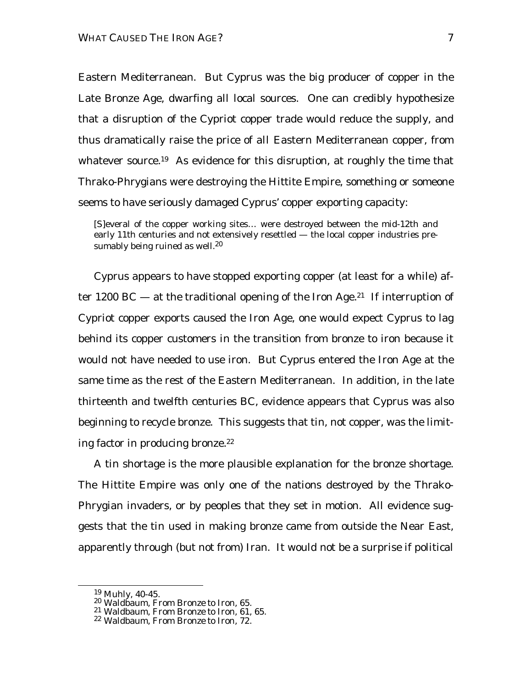Eastern Mediterranean. But Cyprus was the big producer of copper in the Late Bronze Age, dwarfing all local sources. One can credibly hypothesize that a disruption of the Cypriot copper trade would reduce the supply, and thus dramatically raise the price of *all* Eastern Mediterranean copper, from whatever source.<sup>19</sup> As evidence for this disruption, at roughly the time that Thrako-Phrygians were destroying the Hittite Empire, something or someone seems to have seriously damaged Cyprus' copper exporting capacity:

[S]everal of the copper working sites… were destroyed between the mid-12th and early 11th centuries and not extensively resettled — the local copper industries presumably being ruined as well.<sup>20</sup>

Cyprus appears to have stopped exporting copper (at least for a while) after 1200 BC – at the traditional opening of the Iron Age.<sup>21</sup> If interruption of Cypriot copper exports caused the Iron Age, one would expect Cyprus to lag behind its copper customers in the transition from bronze to iron because it would not have needed to use iron. But Cyprus entered the Iron Age at the same time as the rest of the Eastern Mediterranean. In addition, in the late thirteenth and twelfth centuries BC, evidence appears that Cyprus was also beginning to recycle bronze. This suggests that tin, not copper, was the limiting factor in producing bronze.<sup>22</sup>

A tin shortage is the more plausible explanation for the bronze shortage. The Hittite Empire was only one of the nations destroyed by the Thrako-Phrygian invaders, or by peoples that they set in motion. All evidence suggests that the tin used in making bronze came from outside the Near East, apparently through (but not *from*) Iran. It would not be a surprise if political

<sup>19</sup> Muhly, 40-45.

<sup>20</sup> Waldbaum, *From Bronze to Iron,* 65.

<sup>21</sup> Waldbaum, *From Bronze to Iron,* 61, 65.

<sup>22</sup> Waldbaum, *From Bronze to Iron*, 72.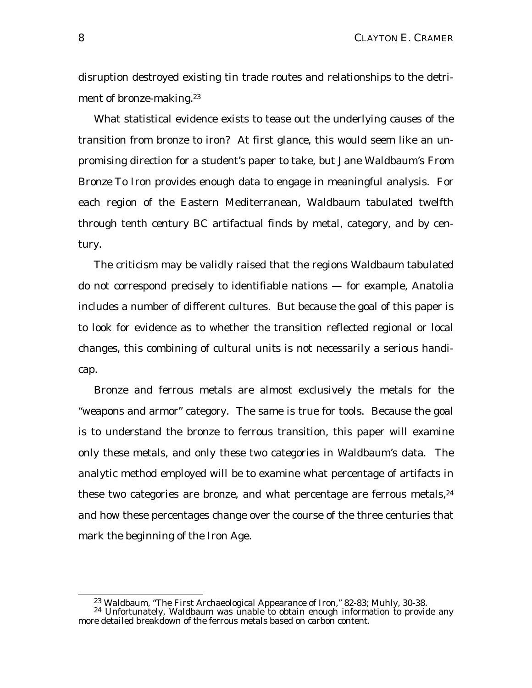disruption destroyed existing tin trade routes and relationships to the detriment of bronze-making.<sup>23</sup>

What statistical evidence exists to tease out the underlying causes of the transition from bronze to iron? At first glance, this would seem like an unpromising direction for a student's paper to take, but Jane Waldbaum's *From Bronze To Iron* provides enough data to engage in meaningful analysis. For each region of the Eastern Mediterranean, Waldbaum tabulated twelfth through tenth century BC artifactual finds by metal, category, and by century.

The criticism may be validly raised that the regions Waldbaum tabulated do not correspond precisely to identifiable nations — for example, Anatolia includes a number of different cultures. But because the goal of this paper is to look for evidence as to whether the transition reflected regional or local changes, this combining of cultural units is not necessarily a serious handicap.

Bronze and ferrous metals are almost exclusively the metals for the "weapons and armor" category. The same is true for tools. Because the goal is to understand the bronze to ferrous transition, this paper will examine only these metals, and only these two categories in Waldbaum's data. The analytic method employed will be to examine what percentage of artifacts in these two categories are bronze, and what percentage are ferrous metals, $24$ and how these percentages change over the course of the three centuries that mark the beginning of the Iron Age.

<sup>&</sup>lt;sup>23</sup> Waldbaum, "The First Archaeological Appearance of Iron," 82-83; Muhly, 30-38.

 $24$  Unfortunately, Waldbaum was unable to obtain enough information to provide any more detailed breakdown of the ferrous metals based on carbon content.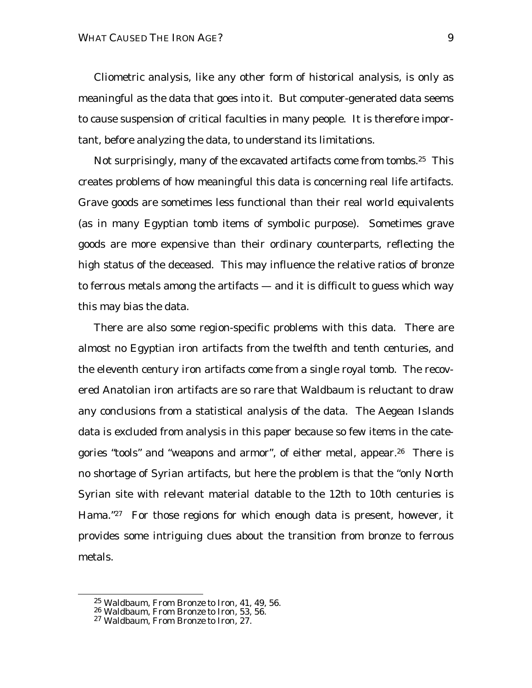Cliometric analysis, like any other form of historical analysis, is only as meaningful as the data that goes into it. But computer-generated data seems to cause suspension of critical faculties in many people. It is therefore important, before analyzing the data, to understand its limitations.

Not surprisingly, many of the excavated artifacts come from tombs.25 This creates problems of how meaningful this data is concerning real life artifacts. Grave goods are sometimes less functional than their real world equivalents (as in many Egyptian tomb items of symbolic purpose). Sometimes grave goods are more expensive than their ordinary counterparts, reflecting the high status of the deceased. This may influence the relative ratios of bronze to ferrous metals among the artifacts — and it is difficult to guess which way this may bias the data.

There are also some region-specific problems with this data. There are almost no Egyptian iron artifacts from the twelfth and tenth centuries, and the eleventh century iron artifacts come from a single royal tomb. The recovered Anatolian iron artifacts are so rare that Waldbaum is reluctant to draw any conclusions from a statistical analysis of the data. The Aegean Islands data is excluded from analysis in this paper because so few items in the categories "tools" and "weapons and armor", of either metal, appear.<sup>26</sup> There is no shortage of Syrian artifacts, but here the problem is that the "only North Syrian site with relevant material datable to the 12th to 10th centuries is Hama."<sup>27</sup> For those regions for which enough data is present, however, it provides some intriguing clues about the transition from bronze to ferrous metals.

<sup>25</sup> Waldbaum, *From Bronze to Iron*, 41, 49, 56.

<sup>26</sup> Waldbaum, *From Bronze to Iron*, 53, 56.

<sup>27</sup> Waldbaum, *From Bronze to Iron*, 27.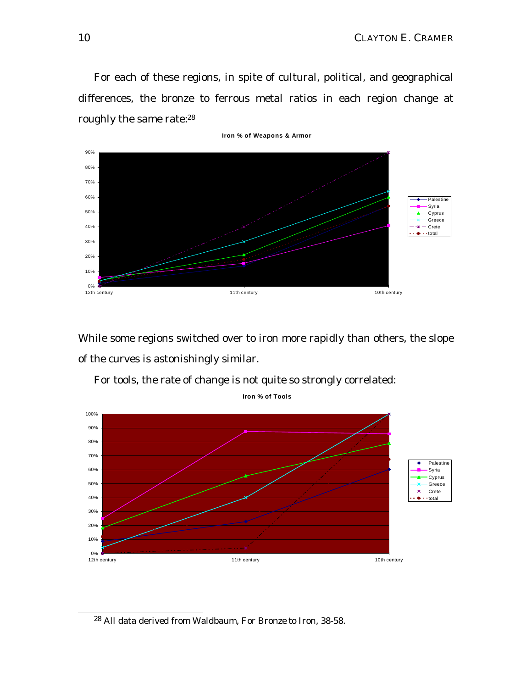For each of these regions, in spite of cultural, political, and geographical differences, the bronze to ferrous metal ratios in each region change at roughly the same rate:<sup>28</sup>



While some regions switched over to iron more rapidly than others, the slope of the curves is astonishingly similar.



For tools, the rate of change is not quite so strongly correlated:

**Iron % of Tools**

<sup>28</sup> All data derived from Waldbaum, *For Bronze to Iron*, 38-58.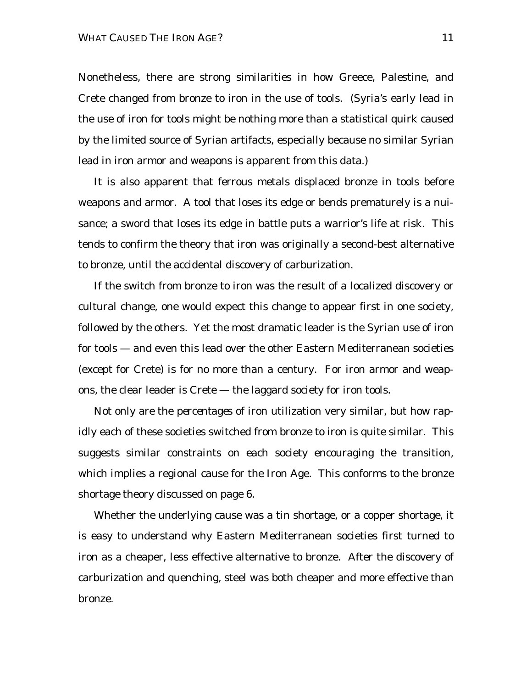Nonetheless, there are strong similarities in how Greece, Palestine, and Crete changed from bronze to iron in the use of tools. (Syria's early lead in the use of iron for tools might be nothing more than a statistical quirk caused by the limited source of Syrian artifacts, especially because no similar Syrian lead in iron armor and weapons is apparent from this data.)

It is also apparent that ferrous metals displaced bronze in tools before weapons and armor. A tool that loses its edge or bends prematurely is a nuisance; a sword that loses its edge in battle puts a warrior's life at risk. This tends to confirm the theory that iron was originally a second-best alternative to bronze, until the accidental discovery of carburization.

If the switch from bronze to iron was the result of a localized discovery or cultural change, one would expect this change to appear first in one society, followed by the others. Yet the most dramatic leader is the Syrian use of iron for tools — and even this lead over the other Eastern Mediterranean societies (except for Crete) is for no more than a century. For iron armor and weapons, the clear leader is Crete — the laggard society for iron tools.

Not only are the *percentages* of iron utilization very similar, but how rapidly each of these societies switched from bronze to iron is quite similar. This suggests similar constraints on each society encouraging the transition, which implies a regional cause for the Iron Age. This conforms to the bronze shortage theory discussed on page 6.

Whether the underlying cause was a tin shortage, or a copper shortage, it is easy to understand why Eastern Mediterranean societies first turned to iron as a cheaper, less effective alternative to bronze. After the discovery of carburization and quenching, steel was both cheaper *and* more effective than bronze.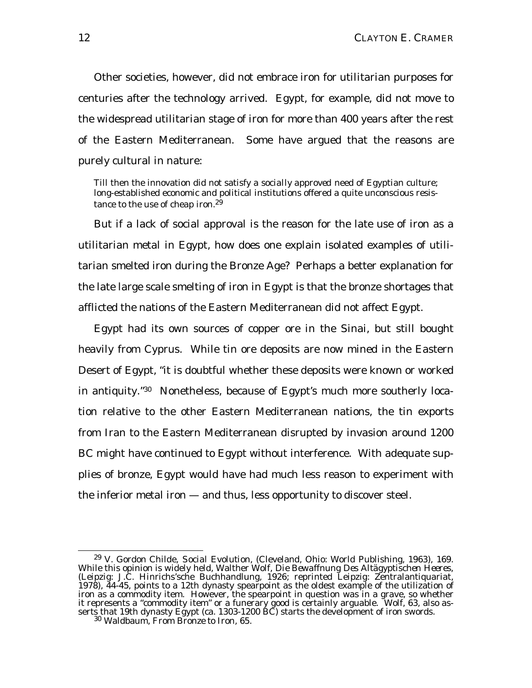Other societies, however, did not embrace iron for utilitarian purposes for centuries after the technology arrived. Egypt, for example, did not move to the widespread utilitarian stage of iron for more than 400 years after the rest of the Eastern Mediterranean. Some have argued that the reasons are purely cultural in nature:

Till then the innovation did not satisfy a *socially approved* need of Egyptian culture; long-established economic and political institutions offered a quite unconscious resistance to the use of cheap iron.<sup>29</sup>

But if a lack of social approval is the reason for the late use of iron as a utilitarian metal in Egypt, how does one explain isolated examples of utilitarian smelted iron during the Bronze Age? Perhaps a better explanation for the late large scale smelting of iron in Egypt is that the bronze shortages that afflicted the nations of the Eastern Mediterranean did not affect Egypt.

Egypt had its own sources of copper ore in the Sinai, but still bought heavily from Cyprus. While tin ore deposits are now mined in the Eastern Desert of Egypt, "it is doubtful whether these deposits were known or worked in antiquity."30 Nonetheless, because of Egypt's much more southerly location relative to the other Eastern Mediterranean nations, the tin exports from Iran to the Eastern Mediterranean disrupted by invasion around 1200 BC might have continued to Egypt without interference. With adequate supplies of bronze, Egypt would have had much less reason to experiment with the inferior metal iron — and thus, less opportunity to discover steel.

 $\overline{a}$ <sup>29</sup> V. Gordon Childe, *Social Evolution*, (Cleveland, Ohio: World Publishing, 1963), 169. While this opinion is widely held, Walther Wolf, *Die Bewaffnung Des Altägyptischen Heeres*, (Leipzig: J.C. Hinrichs'sche Buchhandlung, 1926; reprinted Leipzig: Zentralantiquariat, 1978), 44-45, points to a 12th dynasty spearpoint as the oldest example of the utilization of iron as a commodity item. However, the spearpoint in question was in a grave, so whether it represents a "commodity item" or a funerary good is certainly arguable. Wolf, 63, also asserts that 19th dynasty Egypt (ca. 1303-1200 BC) starts the development of iron swords.

<sup>30</sup> Waldbaum, *From Bronze to Iron*, 65.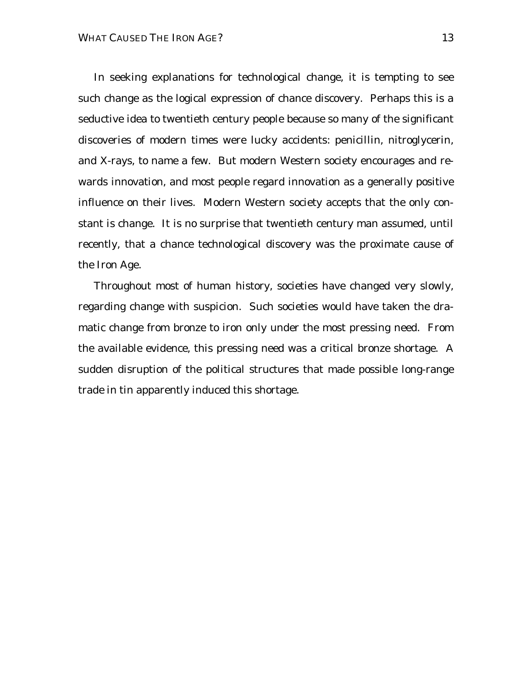In seeking explanations for technological change, it is tempting to see such change as the logical expression of chance discovery. Perhaps this is a seductive idea to twentieth century people because so many of the significant discoveries of modern times were lucky accidents: penicillin, nitroglycerin, and X-rays, to name a few. But modern Western society encourages and rewards innovation, and most people regard innovation as a generally positive influence on their lives. Modern Western society accepts that the only constant is change. It is no surprise that twentieth century man assumed, until recently, that a chance technological discovery was the proximate cause of the Iron Age.

Throughout most of human history, societies have changed very slowly, regarding change with suspicion. Such societies would have taken the dramatic change from bronze to iron only under the most pressing need. From the available evidence, this pressing need was a critical bronze shortage. A sudden disruption of the political structures that made possible long-range trade in tin apparently induced this shortage.